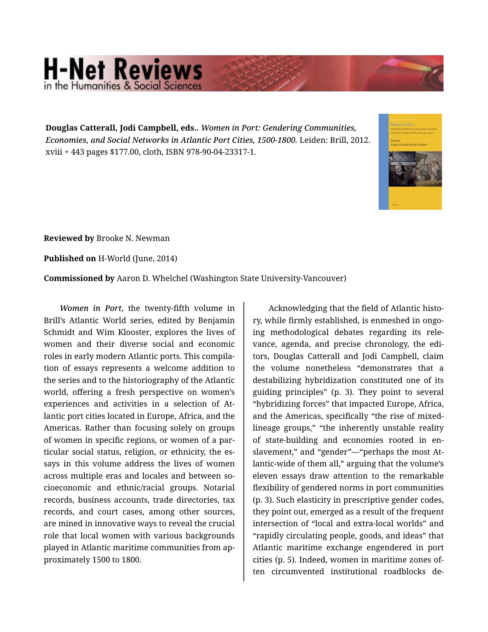## **H-Net Reviews** in the Humanities & Social Scie

**Douglas Catterall, Jodi Campbell, eds..** *Women in Port: Gendering Communities, Economies, and Social Networks in Atlantic Port Cities, 1500-1800.* Leiden: Brill, 2012. xviii + 443 pages \$177.00, cloth, ISBN 978-90-04-23317-1.



**Reviewed by** Brooke N. Newman

**Published on** H-World (June, 2014)

**Commissioned by** Aaron D. Whelchel (Washington State University-Vancouver)

*Women in Port*, the twenty-fifth volume in Brill's Atlantic World series, edited by Benjamin Schmidt and Wim Klooster, explores the lives of women and their diverse social and economic roles in early modern Atlantic ports. This compila‐ tion of essays represents a welcome addition to the series and to the historiography of the Atlantic world, offering a fresh perspective on women's experiences and activities in a selection of At‐ lantic port cities located in Europe, Africa, and the Americas. Rather than focusing solely on groups of women in specific regions, or women of a par‐ ticular social status, religion, or ethnicity, the es‐ says in this volume address the lives of women across multiple eras and locales and between so‐ cioeconomic and ethnic/racial groups. Notarial records, business accounts, trade directories, tax records, and court cases, among other sources, are mined in innovative ways to reveal the crucial role that local women with various backgrounds played in Atlantic maritime communities from ap‐ proximately 1500 to 1800.

Acknowledging that the field of Atlantic histo‐ ry, while firmly established, is enmeshed in ongo‐ ing methodological debates regarding its rele‐ vance, agenda, and precise chronology, the edi‐ tors, Douglas Catterall and Jodi Campbell, claim the volume nonetheless "demonstrates that a destabilizing hybridization constituted one of its guiding principles" (p. 3). They point to several "hybridizing forces" that impacted Europe, Africa, and the Americas, specifically "the rise of mixedlineage groups," "the inherently unstable reality of state-building and economies rooted in en‐ slavement," and "gender"—"perhaps the most Atlantic-wide of them all," arguing that the volume's eleven essays draw attention to the remarkable flexibility of gendered norms in port communities (p. 3). Such elasticity in prescriptive gender codes, they point out, emerged as a result of the frequent intersection of "local and extra-local worlds" and "rapidly circulating people, goods, and ideas" that Atlantic maritime exchange engendered in port cities (p. 5). Indeed, women in maritime zones of‐ ten circumvented institutional roadblocks de‐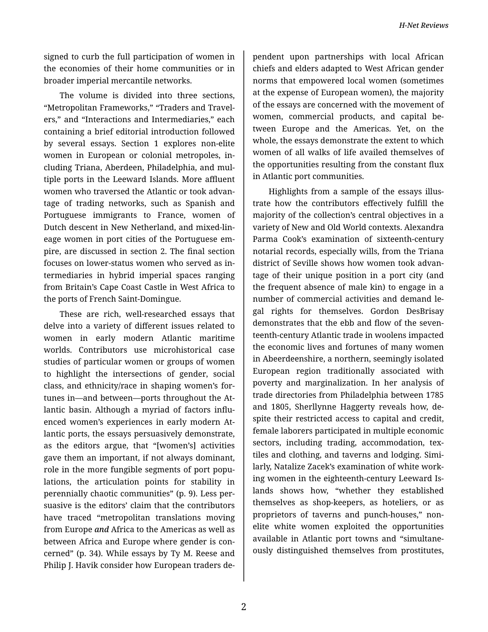*H-Net Reviews*

signed to curb the full participation of women in the economies of their home communities or in broader imperial mercantile networks.

The volume is divided into three sections, "Metropolitan Frameworks," "Traders and Travel‐ ers," and "Interactions and Intermediaries," each containing a brief editorial introduction followed by several essays. Section 1 explores non-elite women in European or colonial metropoles, in‐ cluding Triana, Aberdeen, Philadelphia, and mul‐ tiple ports in the Leeward Islands. More affluent women who traversed the Atlantic or took advan‐ tage of trading networks, such as Spanish and Portuguese immigrants to France, women of Dutch descent in New Netherland, and mixed-lin‐ eage women in port cities of the Portuguese em‐ pire, are discussed in section 2. The final section focuses on lower-status women who served as in‐ termediaries in hybrid imperial spaces ranging from Britain's Cape Coast Castle in West Africa to the ports of French Saint-Domingue.

These are rich, well-researched essays that delve into a variety of different issues related to women in early modern Atlantic maritime worlds. Contributors use microhistorical case studies of particular women or groups of women to highlight the intersections of gender, social class, and ethnicity/race in shaping women's for‐ tunes in—and between—ports throughout the At‐ lantic basin. Although a myriad of factors influ‐ enced women's experiences in early modern At‐ lantic ports, the essays persuasively demonstrate, as the editors argue, that "[women's] activities gave them an important, if not always dominant, role in the more fungible segments of port popu‐ lations, the articulation points for stability in perennially chaotic communities" (p. 9). Less per‐ suasive is the editors' claim that the contributors have traced "metropolitan translations moving from Europe *and* Africa to the Americas as well as between Africa and Europe where gender is con‐ cerned" (p. 34). While essays by Ty M. Reese and Philip J. Havik consider how European traders de‐

pendent upon partnerships with local African chiefs and elders adapted to West African gender norms that empowered local women (sometimes at the expense of European women), the majority of the essays are concerned with the movement of women, commercial products, and capital be‐ tween Europe and the Americas. Yet, on the whole, the essays demonstrate the extent to which women of all walks of life availed themselves of the opportunities resulting from the constant flux in Atlantic port communities.

Highlights from a sample of the essays illus‐ trate how the contributors effectively fulfill the majority of the collection's central objectives in a variety of New and Old World contexts. Alexandra Parma Cook's examination of sixteenth-century notarial records, especially wills, from the Triana district of Seville shows how women took advan‐ tage of their unique position in a port city (and the frequent absence of male kin) to engage in a number of commercial activities and demand le‐ gal rights for themselves. Gordon DesBrisay demonstrates that the ebb and flow of the seven‐ teenth-century Atlantic trade in woolens impacted the economic lives and fortunes of many women in Abeerdeenshire, a northern, seemingly isolated European region traditionally associated with poverty and marginalization. In her analysis of trade directories from Philadelphia between 1785 and 1805, Sherllynne Haggerty reveals how, de‐ spite their restricted access to capital and credit, female laborers participated in multiple economic sectors, including trading, accommodation, textiles and clothing, and taverns and lodging. Simi‐ larly, Natalize Zacek's examination of white work‐ ing women in the eighteenth-century Leeward Is‐ lands shows how, "whether they established themselves as shop-keepers, as hoteliers, or as proprietors of taverns and punch-houses," nonelite white women exploited the opportunities available in Atlantic port towns and "simultane‐ ously distinguished themselves from prostitutes,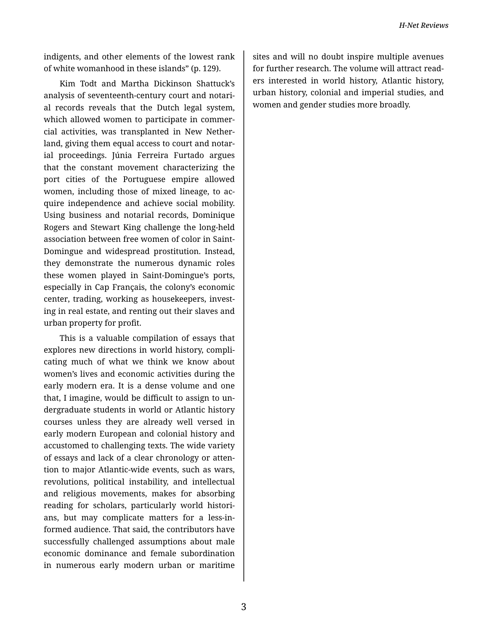indigents, and other elements of the lowest rank of white womanhood in these islands" (p. 129).

Kim Todt and Martha Dickinson Shattuck's analysis of seventeenth-century court and notari‐ al records reveals that the Dutch legal system, which allowed women to participate in commercial activities, was transplanted in New Nether‐ land, giving them equal access to court and notar‐ ial proceedings. Júnia Ferreira Furtado argues that the constant movement characterizing the port cities of the Portuguese empire allowed women, including those of mixed lineage, to ac‐ quire independence and achieve social mobility. Using business and notarial records, Dominique Rogers and Stewart King challenge the long-held association between free women of color in Saint-Domingue and widespread prostitution. Instead, they demonstrate the numerous dynamic roles these women played in Saint-Domingue's ports, especially in Cap Français, the colony's economic center, trading, working as housekeepers, invest‐ ing in real estate, and renting out their slaves and urban property for profit.

This is a valuable compilation of essays that explores new directions in world history, compli‐ cating much of what we think we know about women's lives and economic activities during the early modern era. It is a dense volume and one that, I imagine, would be difficult to assign to un‐ dergraduate students in world or Atlantic history courses unless they are already well versed in early modern European and colonial history and accustomed to challenging texts. The wide variety of essays and lack of a clear chronology or atten‐ tion to major Atlantic-wide events, such as wars, revolutions, political instability, and intellectual and religious movements, makes for absorbing reading for scholars, particularly world histori‐ ans, but may complicate matters for a less-in‐ formed audience. That said, the contributors have successfully challenged assumptions about male economic dominance and female subordination in numerous early modern urban or maritime

sites and will no doubt inspire multiple avenues for further research. The volume will attract read‐ ers interested in world history, Atlantic history, urban history, colonial and imperial studies, and women and gender studies more broadly.